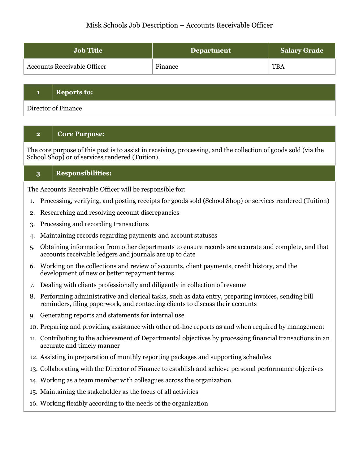### Misk Schools Job Description – Accounts Receivable Officer

| <b>Job Title</b>                   | <b>Department</b> | <b>Salary Grade</b> |
|------------------------------------|-------------------|---------------------|
| <b>Accounts Receivable Officer</b> | Finance           | <b>TBA</b>          |

### **1 Reports to:**

Director of Finance

# **2 Core Purpose:**

The core purpose of this post is to assist in receiving, processing, and the collection of goods sold (via the School Shop) or of services rendered (Tuition).

#### **3 Responsibilities:**

The Accounts Receivable Officer will be responsible for:

- 1. Processing, verifying, and posting receipts for goods sold (School Shop) or services rendered (Tuition)
- 2. Researching and resolving account discrepancies
- 3. Processing and recording transactions
- 4. Maintaining records regarding payments and account statuses
- 5. Obtaining information from other departments to ensure records are accurate and complete, and that accounts receivable ledgers and journals are up to date
- 6. Working on the collections and review of accounts, client payments, credit history, and the development of new or better repayment terms
- 7. Dealing with clients professionally and diligently in collection of revenue
- 8. Performing administrative and clerical tasks, such as data entry, preparing invoices, sending bill reminders, filing paperwork, and contacting clients to discuss their accounts
- 9. Generating reports and statements for internal use
- 10. Preparing and providing assistance with other ad-hoc reports as and when required by management
- 11. Contributing to the achievement of Departmental objectives by processing financial transactions in an accurate and timely manner
- 12. Assisting in preparation of monthly reporting packages and supporting schedules
- 13. Collaborating with the Director of Finance to establish and achieve personal performance objectives
- 14. Working as a team member with colleagues across the organization
- 15. Maintaining the stakeholder as the focus of all activities
- 16. Working flexibly according to the needs of the organization